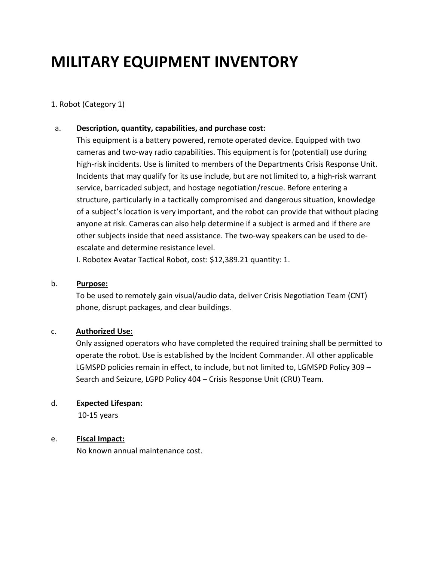# **MILITARY EQUIPMENT INVENTORY**

## 1. Robot (Category 1)

## a. **Description, quantity, capabilities, and purchase cost:**

This equipment is a battery powered, remote operated device. Equipped with two cameras and two-way radio capabilities. This equipment is for (potential) use during high-risk incidents. Use is limited to members of the Departments Crisis Response Unit. Incidents that may qualify for its use include, but are not limited to, a high-risk warrant service, barricaded subject, and hostage negotiation/rescue. Before entering a structure, particularly in a tactically compromised and dangerous situation, knowledge of a subject's location is very important, and the robot can provide that without placing anyone at risk. Cameras can also help determine if a subject is armed and if there are other subjects inside that need assistance. The two-way speakers can be used to deescalate and determine resistance level.

I. Robotex Avatar Tactical Robot, cost: \$12,389.21 quantity: 1.

#### b. **Purpose:**

To be used to remotely gain visual/audio data, deliver Crisis Negotiation Team (CNT) phone, disrupt packages, and clear buildings.

#### c. **Authorized Use:**

Only assigned operators who have completed the required training shall be permitted to operate the robot. Use is established by the Incident Commander. All other applicable LGMSPD policies remain in effect, to include, but not limited to, LGMSPD Policy 309 – Search and Seizure, LGPD Policy 404 – Crisis Response Unit (CRU) Team.

#### d. **Expected Lifespan:**

10-15 years

# e. **Fiscal Impact:**

No known annual maintenance cost.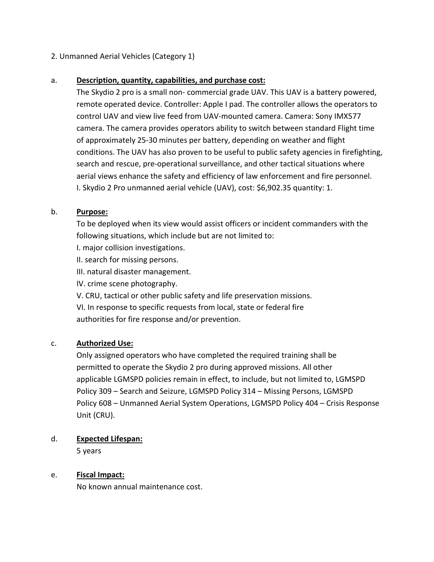# 2. Unmanned Aerial Vehicles (Category 1)

# a. **Description, quantity, capabilities, and purchase cost:**

The Skydio 2 pro is a small non- commercial grade UAV. This UAV is a battery powered, remote operated device. Controller: Apple I pad. The controller allows the operators to control UAV and view live feed from UAV-mounted camera. Camera: Sony IMX577 camera. The camera provides operators ability to switch between standard Flight time of approximately 25-30 minutes per battery, depending on weather and flight conditions. The UAV has also proven to be useful to public safety agencies in firefighting, search and rescue, pre-operational surveillance, and other tactical situations where aerial views enhance the safety and efficiency of law enforcement and fire personnel. I. Skydio 2 Pro unmanned aerial vehicle (UAV), cost: \$6,902.35 quantity: 1.

## b. **Purpose:**

To be deployed when its view would assist officers or incident commanders with the following situations, which include but are not limited to:

I. major collision investigations.

II. search for missing persons.

III. natural disaster management.

IV. crime scene photography.

V. CRU, tactical or other public safety and life preservation missions.

VI. In response to specific requests from local, state or federal fire authorities for fire response and/or prevention.

# c. **Authorized Use:**

Only assigned operators who have completed the required training shall be permitted to operate the Skydio 2 pro during approved missions. All other applicable LGMSPD policies remain in effect, to include, but not limited to, LGMSPD Policy 309 – Search and Seizure, LGMSPD Policy 314 – Missing Persons, LGMSPD Policy 608 – Unmanned Aerial System Operations, LGMSPD Policy 404 – Crisis Response Unit (CRU).

# d. **Expected Lifespan:**

5 years

# e. **Fiscal Impact:**

No known annual maintenance cost.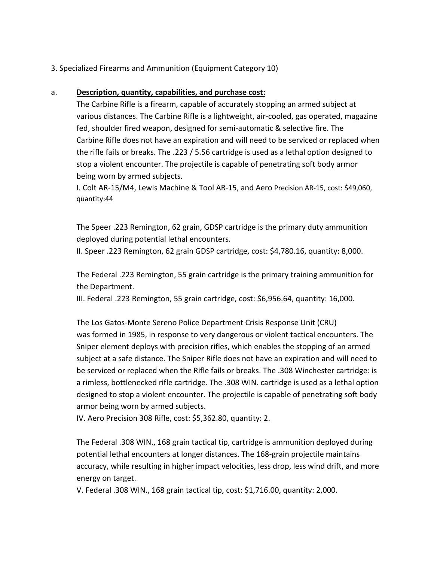3. Specialized Firearms and Ammunition (Equipment Category 10)

## a. **Description, quantity, capabilities, and purchase cost:**

The Carbine Rifle is a firearm, capable of accurately stopping an armed subject at various distances. The Carbine Rifle is a lightweight, air-cooled, gas operated, magazine fed, shoulder fired weapon, designed for semi-automatic & selective fire. The Carbine Rifle does not have an expiration and will need to be serviced or replaced when the rifle fails or breaks. The .223 / 5.56 cartridge is used as a lethal option designed to stop a violent encounter. The projectile is capable of penetrating soft body armor being worn by armed subjects.

I. Colt AR-15/M4, Lewis Machine & Tool AR-15, and Aero Precision AR-15, cost: \$49,060, quantity:44

The Speer .223 Remington, 62 grain, GDSP cartridge is the primary duty ammunition deployed during potential lethal encounters.

II. Speer .223 Remington, 62 grain GDSP cartridge, cost: \$4,780.16, quantity: 8,000.

The Federal .223 Remington, 55 grain cartridge is the primary training ammunition for the Department.

III. Federal .223 Remington, 55 grain cartridge, cost: \$6,956.64, quantity: 16,000.

The Los Gatos-Monte Sereno Police Department Crisis Response Unit (CRU) was formed in 1985, in response to very dangerous or violent tactical encounters. The Sniper element deploys with precision rifles, which enables the stopping of an armed subject at a safe distance. The Sniper Rifle does not have an expiration and will need to be serviced or replaced when the Rifle fails or breaks. The .308 Winchester cartridge: is a rimless, bottlenecked rifle cartridge. The .308 WIN. cartridge is used as a lethal option designed to stop a violent encounter. The projectile is capable of penetrating soft body armor being worn by armed subjects.

IV. Aero Precision 308 Rifle, cost: \$5,362.80, quantity: 2.

The Federal .308 WIN., 168 grain tactical tip, cartridge is ammunition deployed during potential lethal encounters at longer distances. The 168-grain projectile maintains accuracy, while resulting in higher impact velocities, less drop, less wind drift, and more energy on target.

V. Federal .308 WIN., 168 grain tactical tip, cost: \$1,716.00, quantity: 2,000.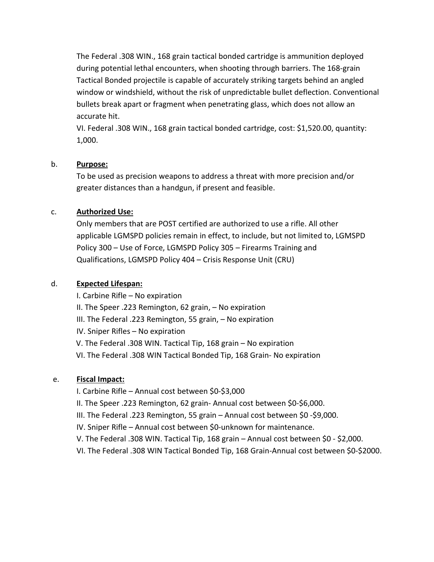The Federal .308 WIN., 168 grain tactical bonded cartridge is ammunition deployed during potential lethal encounters, when shooting through barriers. The 168-grain Tactical Bonded projectile is capable of accurately striking targets behind an angled window or windshield, without the risk of unpredictable bullet deflection. Conventional bullets break apart or fragment when penetrating glass, which does not allow an accurate hit.

VI. Federal .308 WIN., 168 grain tactical bonded cartridge, cost: \$1,520.00, quantity: 1,000.

## b. **Purpose:**

To be used as precision weapons to address a threat with more precision and/or greater distances than a handgun, if present and feasible.

# c. **Authorized Use:**

Only members that are POST certified are authorized to use a rifle. All other applicable LGMSPD policies remain in effect, to include, but not limited to, LGMSPD Policy 300 – Use of Force, LGMSPD Policy 305 – Firearms Training and Qualifications, LGMSPD Policy 404 – Crisis Response Unit (CRU)

# d. **Expected Lifespan:**

I. Carbine Rifle – No expiration

II. The Speer .223 Remington, 62 grain, – No expiration

III. The Federal .223 Remington, 55 grain, – No expiration

IV. Sniper Rifles – No expiration

V. The Federal .308 WIN. Tactical Tip, 168 grain – No expiration

VI. The Federal .308 WIN Tactical Bonded Tip, 168 Grain- No expiration

# e. **Fiscal Impact:**

I. Carbine Rifle – Annual cost between \$0-\$3,000

II. The Speer .223 Remington, 62 grain- Annual cost between \$0-\$6,000.

III. The Federal .223 Remington, 55 grain – Annual cost between \$0 -\$9,000.

IV. Sniper Rifle – Annual cost between \$0-unknown for maintenance.

V. The Federal .308 WIN. Tactical Tip, 168 grain – Annual cost between \$0 - \$2,000.

VI. The Federal .308 WIN Tactical Bonded Tip, 168 Grain-Annual cost between \$0-\$2000.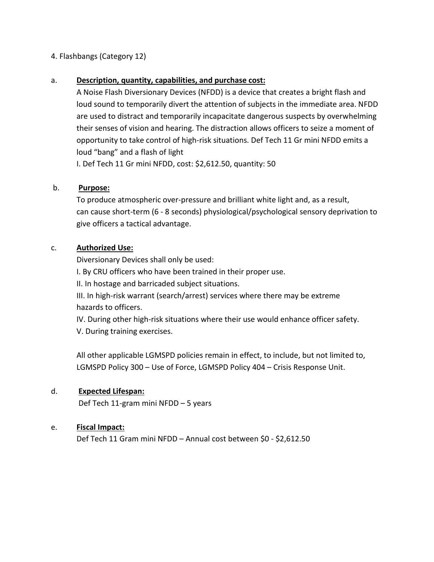# 4. Flashbangs (Category 12)

## a. **Description, quantity, capabilities, and purchase cost:**

A Noise Flash Diversionary Devices (NFDD) is a device that creates a bright flash and loud sound to temporarily divert the attention of subjects in the immediate area. NFDD are used to distract and temporarily incapacitate dangerous suspects by overwhelming their senses of vision and hearing. The distraction allows officers to seize a moment of opportunity to take control of high-risk situations. Def Tech 11 Gr mini NFDD emits a loud "bang" and a flash of light

I. Def Tech 11 Gr mini NFDD, cost: \$2,612.50, quantity: 50

## b. **Purpose:**

To produce atmospheric over-pressure and brilliant white light and, as a result, can cause short-term (6 - 8 seconds) physiological/psychological sensory deprivation to give officers a tactical advantage.

## c. **Authorized Use:**

Diversionary Devices shall only be used:

I. By CRU officers who have been trained in their proper use.

II. In hostage and barricaded subject situations.

III. In high-risk warrant (search/arrest) services where there may be extreme hazards to officers.

IV. During other high-risk situations where their use would enhance officer safety. V. During training exercises.

All other applicable LGMSPD policies remain in effect, to include, but not limited to, LGMSPD Policy 300 – Use of Force, LGMSPD Policy 404 – Crisis Response Unit.

# d. **Expected Lifespan:**

Def Tech 11-gram mini NFDD – 5 years

#### e. **Fiscal Impact:**

Def Tech 11 Gram mini NFDD – Annual cost between \$0 - \$2,612.50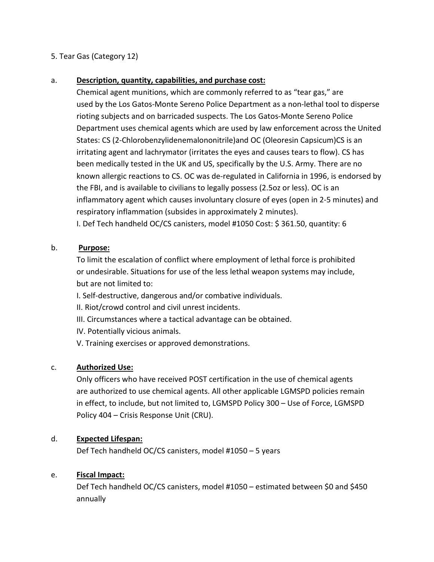# 5. Tear Gas (Category 12)

## a. **Description, quantity, capabilities, and purchase cost:**

Chemical agent munitions, which are commonly referred to as "tear gas," are used by the Los Gatos-Monte Sereno Police Department as a non-lethal tool to disperse rioting subjects and on barricaded suspects. The Los Gatos-Monte Sereno Police Department uses chemical agents which are used by law enforcement across the United States: CS (2-Chlorobenzylidenemalononitrile)and OC (Oleoresin Capsicum)CS is an irritating agent and lachrymator (irritates the eyes and causes tears to flow). CS has been medically tested in the UK and US, specifically by the U.S. Army. There are no known allergic reactions to CS. OC was de-regulated in California in 1996, is endorsed by the FBI, and is available to civilians to legally possess (2.5oz or less). OC is an inflammatory agent which causes involuntary closure of eyes (open in 2-5 minutes) and respiratory inflammation (subsides in approximately 2 minutes).

I. Def Tech handheld OC/CS canisters, model #1050 Cost: \$ 361.50, quantity: 6

## b. **Purpose:**

To limit the escalation of conflict where employment of lethal force is prohibited or undesirable. Situations for use of the less lethal weapon systems may include, but are not limited to:

I. Self-destructive, dangerous and/or combative individuals.

- II. Riot/crowd control and civil unrest incidents.
- III. Circumstances where a tactical advantage can be obtained.
- IV. Potentially vicious animals.
- V. Training exercises or approved demonstrations.

#### c. **Authorized Use:**

Only officers who have received POST certification in the use of chemical agents are authorized to use chemical agents. All other applicable LGMSPD policies remain in effect, to include, but not limited to, LGMSPD Policy 300 – Use of Force, LGMSPD Policy 404 – Crisis Response Unit (CRU).

#### d. **Expected Lifespan:**

Def Tech handheld OC/CS canisters, model #1050 – 5 years

#### e. **Fiscal Impact:**

Def Tech handheld OC/CS canisters, model #1050 – estimated between \$0 and \$450 annually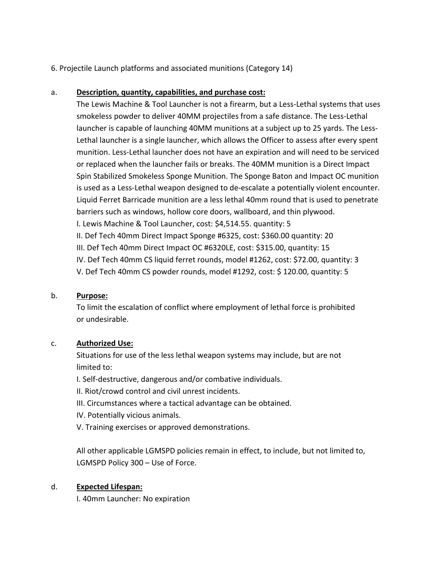6. Projectile Launch platforms and associated munitions (Category 14)

# a. **Description, quantity, capabilities, and purchase cost:**

The Lewis Machine & Tool Launcher is not a firearm, but a Less-Lethal systems that uses smokeless powder to deliver 40MM projectiles from a safe distance. The Less-Lethal launcher is capable of launching 40MM munitions at a subject up to 25 yards. The Less-Lethal launcher is a single launcher, which allows the Officer to assess after every spent munition. Less-Lethal launcher does not have an expiration and will need to be serviced or replaced when the launcher fails or breaks. The 40MM munition is a Direct Impact Spin Stabilized Smokeless Sponge Munition. The Sponge Baton and Impact OC munition is used as a Less-Lethal weapon designed to de-escalate a potentially violent encounter. Liquid Ferret Barricade munition are a less lethal 40mm round that is used to penetrate barriers such as windows, hollow core doors, wallboard, and thin plywood. I. Lewis Machine & Tool Launcher, cost: \$4,514.55. quantity: 5 II. Def Tech 40mm Direct Impact Sponge #6325, cost: \$360.00 quantity: 20 III. Def Tech 40mm Direct Impact OC #6320LE, cost: \$315.00, quantity: 15 IV. Def Tech 40mm CS liquid ferret rounds, model #1262, cost: \$72.00, quantity: 3 V. Def Tech 40mm CS powder rounds, model #1292, cost: \$ 120.00, quantity: 5

# b. **Purpose:**

To limit the escalation of conflict where employment of lethal force is prohibited or undesirable.

# c. **Authorized Use:**

Situations for use of the less lethal weapon systems may include, but are not limited to:

- I. Self-destructive, dangerous and/or combative individuals.
- II. Riot/crowd control and civil unrest incidents.
- III. Circumstances where a tactical advantage can be obtained.
- IV. Potentially vicious animals.
- V. Training exercises or approved demonstrations.

All other applicable LGMSPD policies remain in effect, to include, but not limited to, LGMSPD Policy 300 – Use of Force.

# d. **Expected Lifespan:**

I. 40mm Launcher: No expiration